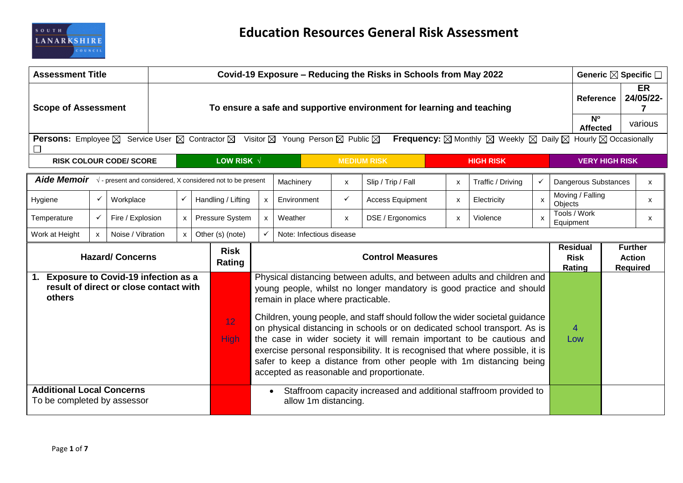

| <b>Assessment Title</b>                                                                        |                                                                                                                                                                                                                                                                                |                                |                                    | Covid-19 Exposure – Reducing the Risks in Schools from May 2022       |                                                               |                                                                                                        |                                    |              |                                                                                                                                                                                                                                                                                                                                                                                                                                                                                                                                                                                           |                           |                   | Generic ⊠ Specific □                     |                                                    |                        |         |          |
|------------------------------------------------------------------------------------------------|--------------------------------------------------------------------------------------------------------------------------------------------------------------------------------------------------------------------------------------------------------------------------------|--------------------------------|------------------------------------|-----------------------------------------------------------------------|---------------------------------------------------------------|--------------------------------------------------------------------------------------------------------|------------------------------------|--------------|-------------------------------------------------------------------------------------------------------------------------------------------------------------------------------------------------------------------------------------------------------------------------------------------------------------------------------------------------------------------------------------------------------------------------------------------------------------------------------------------------------------------------------------------------------------------------------------------|---------------------------|-------------------|------------------------------------------|----------------------------------------------------|------------------------|---------|----------|
| <b>Scope of Assessment</b>                                                                     |                                                                                                                                                                                                                                                                                |                                |                                    | To ensure a safe and supportive environment for learning and teaching |                                                               |                                                                                                        |                                    |              |                                                                                                                                                                                                                                                                                                                                                                                                                                                                                                                                                                                           |                           |                   | Reference                                |                                                    | <b>ER</b><br>24/05/22- |         |          |
|                                                                                                |                                                                                                                                                                                                                                                                                |                                |                                    |                                                                       |                                                               |                                                                                                        |                                    |              |                                                                                                                                                                                                                                                                                                                                                                                                                                                                                                                                                                                           |                           |                   |                                          | $N^{\circ}$<br><b>Affected</b>                     |                        | various |          |
| ∟                                                                                              | <b>Persons:</b> Employee $\boxtimes$ Service User $\boxtimes$ Contractor $\boxtimes$ Visitor $\boxtimes$ Young Person $\boxtimes$ Public $\boxtimes$<br><b>Frequency:</b> $\boxtimes$ Monthly $\boxtimes$ Weekly $\boxtimes$ Daily $\boxtimes$ Hourly $\boxtimes$ Occasionally |                                |                                    |                                                                       |                                                               |                                                                                                        |                                    |              |                                                                                                                                                                                                                                                                                                                                                                                                                                                                                                                                                                                           |                           |                   |                                          |                                                    |                        |         |          |
|                                                                                                |                                                                                                                                                                                                                                                                                | <b>RISK COLOUR CODE/ SCORE</b> |                                    |                                                                       | LOW RISK $\sqrt{ }$<br><b>MEDIUM RISK</b><br><b>HIGH RISK</b> |                                                                                                        |                                    |              |                                                                                                                                                                                                                                                                                                                                                                                                                                                                                                                                                                                           | <b>VERY HIGH RISK</b>     |                   |                                          |                                                    |                        |         |          |
| <b>Aide Memoir</b> $\sqrt{ }$ - present and considered, X considered not to be present         |                                                                                                                                                                                                                                                                                |                                |                                    |                                                                       |                                                               |                                                                                                        | Machinery                          | $\mathsf{x}$ | Slip / Trip / Fall                                                                                                                                                                                                                                                                                                                                                                                                                                                                                                                                                                        | $\boldsymbol{\mathsf{x}}$ | Traffic / Driving | $\checkmark$                             |                                                    | Dangerous Substances   |         | <b>X</b> |
| Hygiene                                                                                        | $\checkmark$                                                                                                                                                                                                                                                                   | Workplace                      | $\checkmark$<br>Handling / Lifting |                                                                       |                                                               | X                                                                                                      | Environment                        | $\checkmark$ | <b>Access Equipment</b>                                                                                                                                                                                                                                                                                                                                                                                                                                                                                                                                                                   | $\boldsymbol{\mathsf{x}}$ | Electricity       | $\mathsf{x}$                             | Objects                                            | Moving / Falling       |         | <b>X</b> |
| Temperature                                                                                    | $\checkmark$                                                                                                                                                                                                                                                                   | Fire / Explosion               | $\mathsf{x}$                       | Pressure System                                                       |                                                               | $\times$ 1                                                                                             | Weather                            | $\mathsf{x}$ | DSE / Ergonomics                                                                                                                                                                                                                                                                                                                                                                                                                                                                                                                                                                          | $\mathsf{x}$              | Violence          | $\boldsymbol{\mathsf{x}}$                | Equipment                                          | Tools / Work           |         | X        |
| Work at Height                                                                                 | $\mathsf{x}$                                                                                                                                                                                                                                                                   | Noise / Vibration              | $\mathsf{x}$                       | Other (s) (note)                                                      |                                                               |                                                                                                        | Note: Infectious disease           |              |                                                                                                                                                                                                                                                                                                                                                                                                                                                                                                                                                                                           |                           |                   |                                          |                                                    |                        |         |          |
| <b>Hazard/ Concerns</b>                                                                        |                                                                                                                                                                                                                                                                                |                                |                                    | <b>Risk</b><br>Rating                                                 | <b>Control Measures</b>                                       |                                                                                                        |                                    |              |                                                                                                                                                                                                                                                                                                                                                                                                                                                                                                                                                                                           |                           |                   | <b>Residual</b><br><b>Risk</b><br>Rating | <b>Further</b><br><b>Action</b><br><b>Required</b> |                        |         |          |
| <b>Exposure to Covid-19 infection as a</b><br>result of direct or close contact with<br>others |                                                                                                                                                                                                                                                                                |                                |                                    | 12<br>High                                                            |                                                               |                                                                                                        | remain in place where practicable. |              | Physical distancing between adults, and between adults and children and<br>young people, whilst no longer mandatory is good practice and should<br>Children, young people, and staff should follow the wider societal guidance<br>on physical distancing in schools or on dedicated school transport. As is<br>the case in wider society it will remain important to be cautious and<br>exercise personal responsibility. It is recognised that where possible, it is<br>safer to keep a distance from other people with 1m distancing being<br>accepted as reasonable and proportionate. |                           |                   |                                          |                                                    | $\overline{4}$<br>Low  |         |          |
| <b>Additional Local Concerns</b><br>To be completed by assessor                                |                                                                                                                                                                                                                                                                                |                                |                                    |                                                                       |                                                               | Staffroom capacity increased and additional staffroom provided to<br>$\bullet$<br>allow 1m distancing. |                                    |              |                                                                                                                                                                                                                                                                                                                                                                                                                                                                                                                                                                                           |                           |                   |                                          |                                                    |                        |         |          |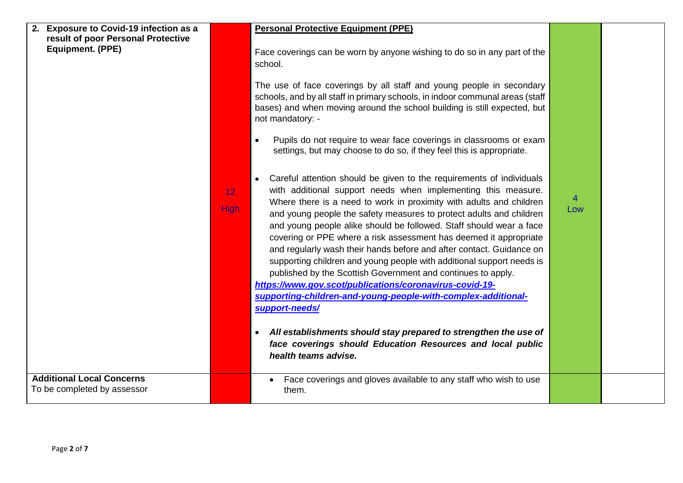| <b>Exposure to Covid-19 infection as a</b><br>2.<br>result of poor Personal Protective<br><b>Equipment. (PPE)</b> |                                | <b>Personal Protective Equipment (PPE)</b><br>Face coverings can be worn by anyone wishing to do so in any part of the<br>school.                                                                                                                                                                                                                                                                                                                                                                                                                                                                                                                                                                                                                                                                                                                                                                                                                        |                       |  |
|-------------------------------------------------------------------------------------------------------------------|--------------------------------|----------------------------------------------------------------------------------------------------------------------------------------------------------------------------------------------------------------------------------------------------------------------------------------------------------------------------------------------------------------------------------------------------------------------------------------------------------------------------------------------------------------------------------------------------------------------------------------------------------------------------------------------------------------------------------------------------------------------------------------------------------------------------------------------------------------------------------------------------------------------------------------------------------------------------------------------------------|-----------------------|--|
|                                                                                                                   |                                | The use of face coverings by all staff and young people in secondary<br>schools, and by all staff in primary schools, in indoor communal areas (staff<br>bases) and when moving around the school building is still expected, but<br>not mandatory: -                                                                                                                                                                                                                                                                                                                                                                                                                                                                                                                                                                                                                                                                                                    |                       |  |
|                                                                                                                   |                                | Pupils do not require to wear face coverings in classrooms or exam<br>settings, but may choose to do so, if they feel this is appropriate.                                                                                                                                                                                                                                                                                                                                                                                                                                                                                                                                                                                                                                                                                                                                                                                                               |                       |  |
|                                                                                                                   | 12 <sub>1</sub><br><b>High</b> | Careful attention should be given to the requirements of individuals<br>with additional support needs when implementing this measure.<br>Where there is a need to work in proximity with adults and children<br>and young people the safety measures to protect adults and children<br>and young people alike should be followed. Staff should wear a face<br>covering or PPE where a risk assessment has deemed it appropriate<br>and regularly wash their hands before and after contact. Guidance on<br>supporting children and young people with additional support needs is<br>published by the Scottish Government and continues to apply.<br>https://www.gov.scot/publications/coronavirus-covid-19-<br>supporting-children-and-young-people-with-complex-additional-<br>support-needs/<br>All establishments should stay prepared to strengthen the use of<br>face coverings should Education Resources and local public<br>health teams advise. | $\overline{4}$<br>Low |  |
| <b>Additional Local Concerns</b><br>To be completed by assessor                                                   |                                | Face coverings and gloves available to any staff who wish to use<br>them.                                                                                                                                                                                                                                                                                                                                                                                                                                                                                                                                                                                                                                                                                                                                                                                                                                                                                |                       |  |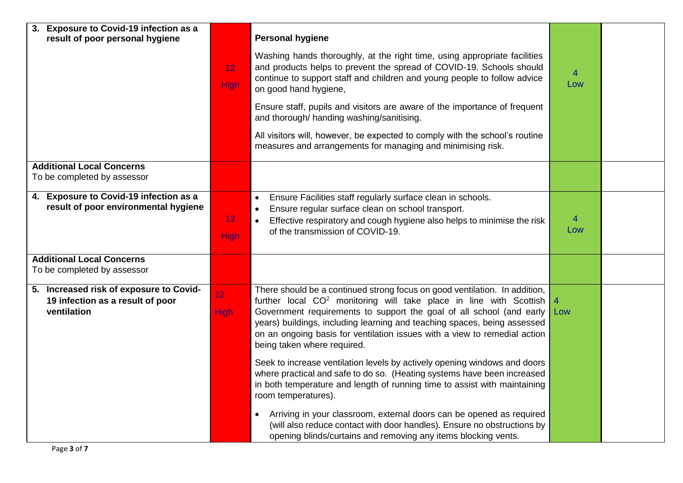| 3. Exposure to Covid-19 infection as a<br>result of poor personal hygiene                  |                         | <b>Personal hygiene</b>                                                                                                                                                                                                                                                                                                                                                                                                      |                       |  |
|--------------------------------------------------------------------------------------------|-------------------------|------------------------------------------------------------------------------------------------------------------------------------------------------------------------------------------------------------------------------------------------------------------------------------------------------------------------------------------------------------------------------------------------------------------------------|-----------------------|--|
|                                                                                            | 12 <sub>2</sub><br>High | Washing hands thoroughly, at the right time, using appropriate facilities<br>and products helps to prevent the spread of COVID-19. Schools should<br>continue to support staff and children and young people to follow advice<br>on good hand hygiene,                                                                                                                                                                       | $\overline{4}$<br>Low |  |
|                                                                                            |                         | Ensure staff, pupils and visitors are aware of the importance of frequent<br>and thorough/ handing washing/sanitising.                                                                                                                                                                                                                                                                                                       |                       |  |
|                                                                                            |                         | All visitors will, however, be expected to comply with the school's routine<br>measures and arrangements for managing and minimising risk.                                                                                                                                                                                                                                                                                   |                       |  |
| <b>Additional Local Concerns</b><br>To be completed by assessor                            |                         |                                                                                                                                                                                                                                                                                                                                                                                                                              |                       |  |
| 4. Exposure to Covid-19 infection as a<br>result of poor environmental hygiene             | 12<br><b>High</b>       | Ensure Facilities staff regularly surface clean in schools.<br>Ensure regular surface clean on school transport.<br>Effective respiratory and cough hygiene also helps to minimise the risk<br>$\bullet$<br>of the transmission of COVID-19.                                                                                                                                                                                 | $\overline{4}$<br>Low |  |
| <b>Additional Local Concerns</b><br>To be completed by assessor                            |                         |                                                                                                                                                                                                                                                                                                                                                                                                                              |                       |  |
| 5. Increased risk of exposure to Covid-<br>19 infection as a result of poor<br>ventilation | 12<br>High              | There should be a continued strong focus on good ventilation. In addition,<br>further local CO <sup>2</sup> monitoring will take place in line with Scottish<br>Government requirements to support the goal of all school (and early<br>years) buildings, including learning and teaching spaces, being assessed<br>on an ongoing basis for ventilation issues with a view to remedial action<br>being taken where required. | $\overline{4}$<br>Low |  |
|                                                                                            |                         | Seek to increase ventilation levels by actively opening windows and doors<br>where practical and safe to do so. (Heating systems have been increased<br>in both temperature and length of running time to assist with maintaining<br>room temperatures).                                                                                                                                                                     |                       |  |
|                                                                                            |                         | Arriving in your classroom, external doors can be opened as required<br>$\bullet$<br>(will also reduce contact with door handles). Ensure no obstructions by<br>opening blinds/curtains and removing any items blocking vents.                                                                                                                                                                                               |                       |  |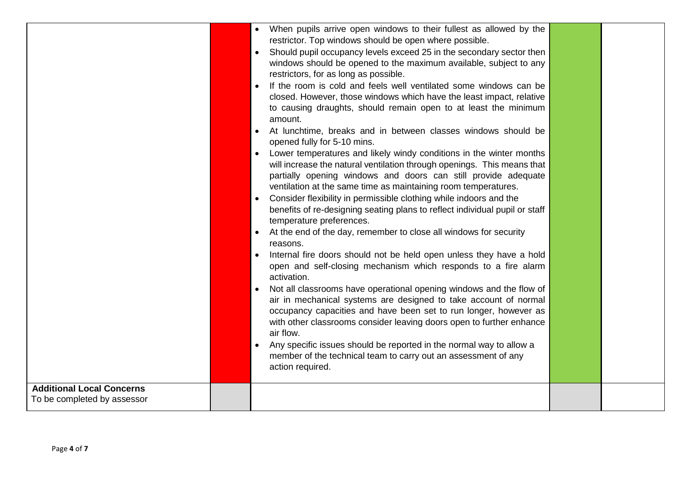| <b>Additional Local Concerns</b> | • When pupils arrive open windows to their fullest as allowed by the<br>restrictor. Top windows should be open where possible.<br>Should pupil occupancy levels exceed 25 in the secondary sector then<br>windows should be opened to the maximum available, subject to any<br>restrictors, for as long as possible.<br>If the room is cold and feels well ventilated some windows can be<br>closed. However, those windows which have the least impact, relative<br>to causing draughts, should remain open to at least the minimum<br>amount.<br>At lunchtime, breaks and in between classes windows should be<br>opened fully for 5-10 mins.<br>Lower temperatures and likely windy conditions in the winter months<br>$\bullet$<br>will increase the natural ventilation through openings. This means that<br>partially opening windows and doors can still provide adequate<br>ventilation at the same time as maintaining room temperatures.<br>Consider flexibility in permissible clothing while indoors and the<br>benefits of re-designing seating plans to reflect individual pupil or staff<br>temperature preferences.<br>At the end of the day, remember to close all windows for security<br>reasons.<br>Internal fire doors should not be held open unless they have a hold<br>open and self-closing mechanism which responds to a fire alarm<br>activation.<br>Not all classrooms have operational opening windows and the flow of<br>air in mechanical systems are designed to take account of normal<br>occupancy capacities and have been set to run longer, however as<br>with other classrooms consider leaving doors open to further enhance<br>air flow.<br>Any specific issues should be reported in the normal way to allow a<br>member of the technical team to carry out an assessment of any<br>action required. |  |
|----------------------------------|-----------------------------------------------------------------------------------------------------------------------------------------------------------------------------------------------------------------------------------------------------------------------------------------------------------------------------------------------------------------------------------------------------------------------------------------------------------------------------------------------------------------------------------------------------------------------------------------------------------------------------------------------------------------------------------------------------------------------------------------------------------------------------------------------------------------------------------------------------------------------------------------------------------------------------------------------------------------------------------------------------------------------------------------------------------------------------------------------------------------------------------------------------------------------------------------------------------------------------------------------------------------------------------------------------------------------------------------------------------------------------------------------------------------------------------------------------------------------------------------------------------------------------------------------------------------------------------------------------------------------------------------------------------------------------------------------------------------------------------------------------------------------------------------------------------------------------------------------|--|
| To be completed by assessor      |                                                                                                                                                                                                                                                                                                                                                                                                                                                                                                                                                                                                                                                                                                                                                                                                                                                                                                                                                                                                                                                                                                                                                                                                                                                                                                                                                                                                                                                                                                                                                                                                                                                                                                                                                                                                                                               |  |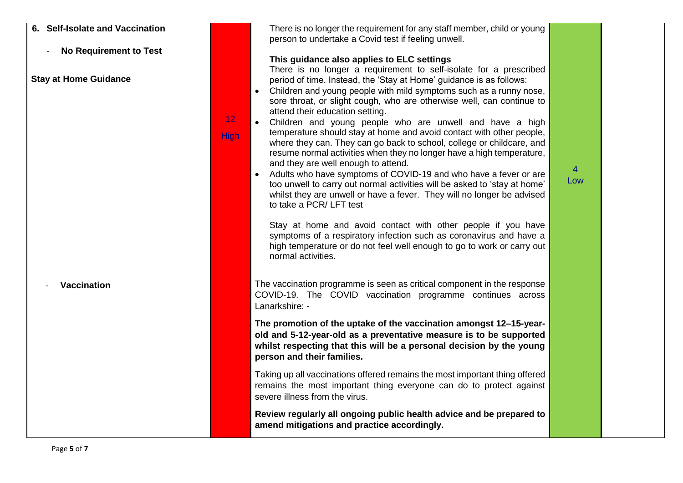| 6. Self-Isolate and Vaccination |             | There is no longer the requirement for any staff member, child or young<br>person to undertake a Covid test if feeling unwell.                                                                                                                                                                                                                                                                                                                                                                                                                                                                                                                                                                                                                                                                                                                                                                                                                                                                                                                                                |                       |  |
|---------------------------------|-------------|-------------------------------------------------------------------------------------------------------------------------------------------------------------------------------------------------------------------------------------------------------------------------------------------------------------------------------------------------------------------------------------------------------------------------------------------------------------------------------------------------------------------------------------------------------------------------------------------------------------------------------------------------------------------------------------------------------------------------------------------------------------------------------------------------------------------------------------------------------------------------------------------------------------------------------------------------------------------------------------------------------------------------------------------------------------------------------|-----------------------|--|
| <b>No Requirement to Test</b>   |             | This guidance also applies to ELC settings<br>There is no longer a requirement to self-isolate for a prescribed                                                                                                                                                                                                                                                                                                                                                                                                                                                                                                                                                                                                                                                                                                                                                                                                                                                                                                                                                               |                       |  |
| <b>Stay at Home Guidance</b>    | 12<br>High: | period of time. Instead, the 'Stay at Home' guidance is as follows:<br>Children and young people with mild symptoms such as a runny nose,<br>sore throat, or slight cough, who are otherwise well, can continue to<br>attend their education setting.<br>Children and young people who are unwell and have a high<br>temperature should stay at home and avoid contact with other people,<br>where they can. They can go back to school, college or childcare, and<br>resume normal activities when they no longer have a high temperature,<br>and they are well enough to attend.<br>Adults who have symptoms of COVID-19 and who have a fever or are<br>too unwell to carry out normal activities will be asked to 'stay at home'<br>whilst they are unwell or have a fever. They will no longer be advised<br>to take a PCR/LFT test<br>Stay at home and avoid contact with other people if you have<br>symptoms of a respiratory infection such as coronavirus and have a<br>high temperature or do not feel well enough to go to work or carry out<br>normal activities. | $\overline{4}$<br>Low |  |
| <b>Vaccination</b>              |             | The vaccination programme is seen as critical component in the response<br>COVID-19. The COVID vaccination programme continues across<br>Lanarkshire: -                                                                                                                                                                                                                                                                                                                                                                                                                                                                                                                                                                                                                                                                                                                                                                                                                                                                                                                       |                       |  |
|                                 |             | The promotion of the uptake of the vaccination amongst 12-15-year-<br>old and 5-12-year-old as a preventative measure is to be supported<br>whilst respecting that this will be a personal decision by the young<br>person and their families.                                                                                                                                                                                                                                                                                                                                                                                                                                                                                                                                                                                                                                                                                                                                                                                                                                |                       |  |
|                                 |             | Taking up all vaccinations offered remains the most important thing offered<br>remains the most important thing everyone can do to protect against<br>severe illness from the virus.                                                                                                                                                                                                                                                                                                                                                                                                                                                                                                                                                                                                                                                                                                                                                                                                                                                                                          |                       |  |
|                                 |             | Review regularly all ongoing public health advice and be prepared to<br>amend mitigations and practice accordingly.                                                                                                                                                                                                                                                                                                                                                                                                                                                                                                                                                                                                                                                                                                                                                                                                                                                                                                                                                           |                       |  |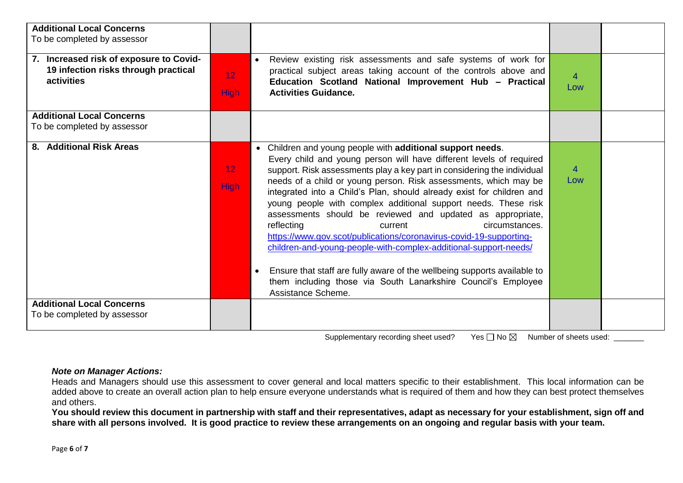| <b>Additional Local Concerns</b><br>To be completed by assessor                               |                                |                                                                                                                                                                                                                                                                                                                                                                                                                                                                                                                                                                                                                                                                                                                                                                                                                                                              |          |  |
|-----------------------------------------------------------------------------------------------|--------------------------------|--------------------------------------------------------------------------------------------------------------------------------------------------------------------------------------------------------------------------------------------------------------------------------------------------------------------------------------------------------------------------------------------------------------------------------------------------------------------------------------------------------------------------------------------------------------------------------------------------------------------------------------------------------------------------------------------------------------------------------------------------------------------------------------------------------------------------------------------------------------|----------|--|
| 7. Increased risk of exposure to Covid-<br>19 infection risks through practical<br>activities | 12 <sub>1</sub><br><b>High</b> | Review existing risk assessments and safe systems of work for<br>practical subject areas taking account of the controls above and<br>Education Scotland National Improvement Hub - Practical<br><b>Activities Guidance.</b>                                                                                                                                                                                                                                                                                                                                                                                                                                                                                                                                                                                                                                  | 4<br>Low |  |
| <b>Additional Local Concerns</b><br>To be completed by assessor                               |                                |                                                                                                                                                                                                                                                                                                                                                                                                                                                                                                                                                                                                                                                                                                                                                                                                                                                              |          |  |
| 8. Additional Risk Areas                                                                      | 12 <sub>2</sub><br><b>High</b> | Children and young people with additional support needs.<br>$\bullet$<br>Every child and young person will have different levels of required<br>support. Risk assessments play a key part in considering the individual<br>needs of a child or young person. Risk assessments, which may be<br>integrated into a Child's Plan, should already exist for children and<br>young people with complex additional support needs. These risk<br>assessments should be reviewed and updated as appropriate,<br>reflecting<br>circumstances.<br>current<br>https://www.gov.scot/publications/coronavirus-covid-19-supporting-<br>children-and-young-people-with-complex-additional-support-needs/<br>Ensure that staff are fully aware of the wellbeing supports available to<br>them including those via South Lanarkshire Council's Employee<br>Assistance Scheme. | 4<br>Low |  |
| <b>Additional Local Concerns</b><br>To be completed by assessor                               |                                |                                                                                                                                                                                                                                                                                                                                                                                                                                                                                                                                                                                                                                                                                                                                                                                                                                                              |          |  |

Supplementary recording sheet used? Yes  $\Box$  No  $\boxtimes$  Number of sheets used: \_\_\_\_\_\_\_

## *Note on Manager Actions:*

Heads and Managers should use this assessment to cover general and local matters specific to their establishment. This local information can be added above to create an overall action plan to help ensure everyone understands what is required of them and how they can best protect themselves and others.

**You should review this document in partnership with staff and their representatives, adapt as necessary for your establishment, sign off and share with all persons involved. It is good practice to review these arrangements on an ongoing and regular basis with your team.**